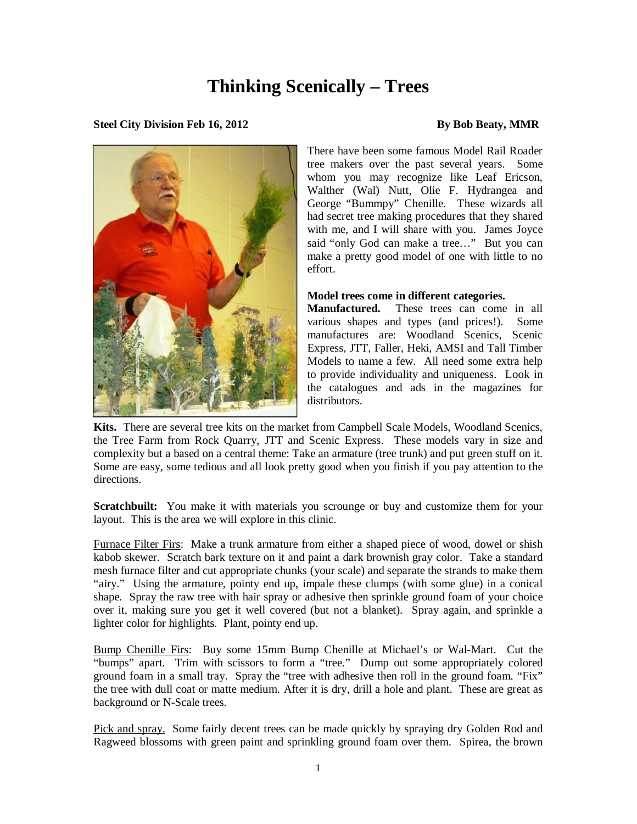## **Thinking Scenically – Trees**

## **Steel City Division Feb 16, 2012 By Bob Beaty, MMR**



There have been some famous Model Rail Roader tree makers over the past several years. Some whom you may recognize like Leaf Ericson, Walther (Wal) Nutt, Olie F. Hydrangea and George "Bummpy" Chenille. These wizards all had secret tree making procedures that they shared with me, and I will share with you. James Joyce said "only God can make a tree…" But you can make a pretty good model of one with little to no effort.

## **Model trees come in different categories.**

These trees can come in all various shapes and types (and prices!). Some manufactures are: Woodland Scenics, Scenic Express, JTT, Faller, Heki, AMSI and Tall Timber Models to name a few. All need some extra help to provide individuality and uniqueness. Look in the catalogues and ads in the magazines for distributors.

**Kits.** There are several tree kits on the market from Campbell Scale Models, Woodland Scenics, the Tree Farm from Rock Quarry, JTT and Scenic Express. These models vary in size and complexity but a based on a central theme: Take an armature (tree trunk) and put green stuff on it. Some are easy, some tedious and all look pretty good when you finish if you pay attention to the directions.

**Scratchbuilt:** You make it with materials you scrounge or buy and customize them for your layout. This is the area we will explore in this clinic.

Furnace Filter Firs: Make a trunk armature from either a shaped piece of wood, dowel or shish kabob skewer. Scratch bark texture on it and paint a dark brownish gray color. Take a standard mesh furnace filter and cut appropriate chunks (your scale) and separate the strands to make them "airy." Using the armature, pointy end up, impale these clumps (with some glue) in a conical shape. Spray the raw tree with hair spray or adhesive then sprinkle ground foam of your choice over it, making sure you get it well covered (but not a blanket). Spray again, and sprinkle a lighter color for highlights. Plant, pointy end up.

Bump Chenille Firs: Buy some 15mm Bump Chenille at Michael's or Wal-Mart. Cut the "bumps" apart. Trim with scissors to form a "tree." Dump out some appropriately colored ground foam in a small tray. Spray the "tree with adhesive then roll in the ground foam. "Fix" the tree with dull coat or matte medium. After it is dry, drill a hole and plant. These are great as background or N-Scale trees.

Pick and spray. Some fairly decent trees can be made quickly by spraying dry Golden Rod and Ragweed blossoms with green paint and sprinkling ground foam over them. Spirea, the brown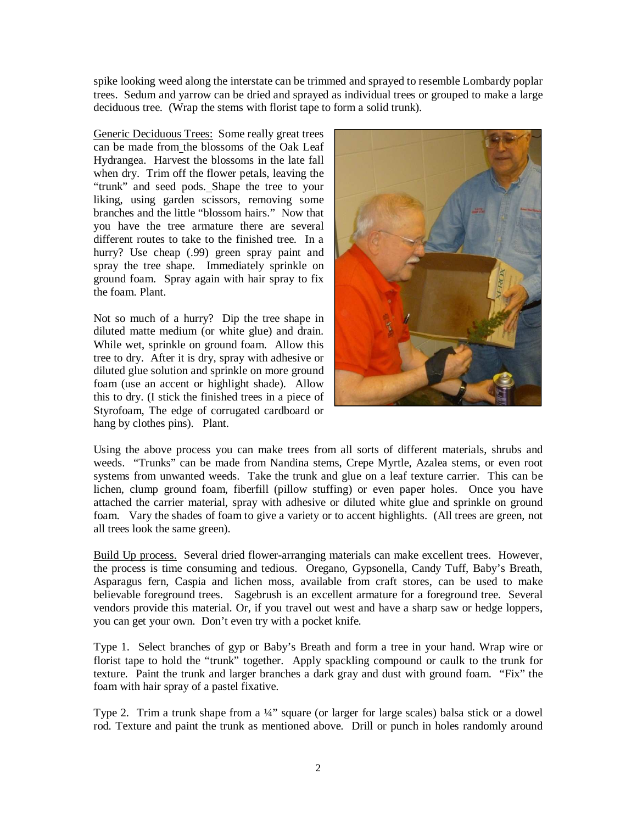spike looking weed along the interstate can be trimmed and sprayed to resemble Lombardy poplar trees. Sedum and yarrow can be dried and sprayed as individual trees or grouped to make a large deciduous tree. (Wrap the stems with florist tape to form a solid trunk).

Generic Deciduous Trees: Some really great trees can be made from the blossoms of the Oak Leaf Hydrangea. Harvest the blossoms in the late fall when dry. Trim off the flower petals, leaving the "trunk" and seed pods. Shape the tree to your liking, using garden scissors, removing some branches and the little "blossom hairs." Now that you have the tree armature there are several different routes to take to the finished tree. In a hurry? Use cheap (.99) green spray paint and spray the tree shape. Immediately sprinkle on ground foam. Spray again with hair spray to fix the foam. Plant.

Not so much of a hurry? Dip the tree shape in diluted matte medium (or white glue) and drain. While wet, sprinkle on ground foam. Allow this tree to dry. After it is dry, spray with adhesive or diluted glue solution and sprinkle on more ground foam (use an accent or highlight shade). Allow this to dry. (I stick the finished trees in a piece of Styrofoam, The edge of corrugated cardboard or hang by clothes pins). Plant.



Using the above process you can make trees from all sorts of different materials, shrubs and weeds. "Trunks" can be made from Nandina stems, Crepe Myrtle, Azalea stems, or even root systems from unwanted weeds. Take the trunk and glue on a leaf texture carrier. This can be lichen, clump ground foam, fiberfill (pillow stuffing) or even paper holes. Once you have attached the carrier material, spray with adhesive or diluted white glue and sprinkle on ground foam. Vary the shades of foam to give a variety or to accent highlights. (All trees are green, not all trees look the same green).

Build Up process. Several dried flower-arranging materials can make excellent trees. However, the process is time consuming and tedious. Oregano, Gypsonella, Candy Tuff, Baby's Breath, Asparagus fern, Caspia and lichen moss, available from craft stores, can be used to make believable foreground trees. Sagebrush is an excellent armature for a foreground tree. Several vendors provide this material. Or, if you travel out west and have a sharp saw or hedge loppers, you can get your own. Don't even try with a pocket knife.

Type 1. Select branches of gyp or Baby's Breath and form a tree in your hand. Wrap wire or florist tape to hold the "trunk" together. Apply spackling compound or caulk to the trunk for texture. Paint the trunk and larger branches a dark gray and dust with ground foam. "Fix" the foam with hair spray of a pastel fixative.

Type 2. Trim a trunk shape from a ¼" square (or larger for large scales) balsa stick or a dowel rod. Texture and paint the trunk as mentioned above. Drill or punch in holes randomly around